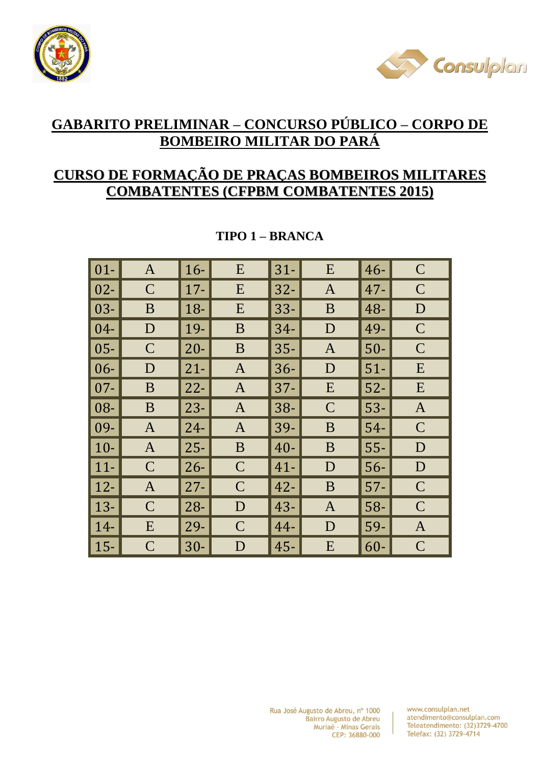



# **GABARITO PRELIMINAR – CONCURSO PÚBLICO – CORPO DE BOMBEIRO MILITAR DO PARÁ**

## **CURSO DE FORMAÇÃO DE PRAÇAS BOMBEIROS MILITARES COMBATENTES (CFPBM COMBATENTES 2015)**

| $01-$  | $\mathbf{A}$                                                                                                  | $16-$  | E            | $31-$  | E            | $46-$  | $\mathsf{C}$  |
|--------|---------------------------------------------------------------------------------------------------------------|--------|--------------|--------|--------------|--------|---------------|
| $02 -$ | $\mathsf{C}$                                                                                                  | $17 -$ | E            | $32 -$ | $\mathbf{A}$ | $47 -$ | $\mathcal{C}$ |
| $03 -$ | B                                                                                                             | $18-$  | E            | $33 -$ | B            | 48-    | D             |
| $04 -$ | D                                                                                                             | 19-    | B            | $34-$  | D            | 49-    | $\mathcal{C}$ |
| $05 -$ | $\mathsf{C}$                                                                                                  | $20 -$ | B            | $35 -$ | $\mathbf{A}$ | $50-$  | $\mathcal{C}$ |
| $06 -$ | D                                                                                                             | $21 -$ | $\mathbf{A}$ | $36-$  | D            | $51-$  | E             |
| $07 -$ | B                                                                                                             | $22 -$ | $\mathbf{A}$ | $37 -$ | E            | $52-$  | E             |
| 08-    | B                                                                                                             | $23 -$ | $\mathbf{A}$ | $38 -$ | $\mathbf C$  | $53-$  | $\mathbf{A}$  |
| 09-    | $\overline{A}$                                                                                                | $24 -$ | $\mathbf{A}$ | 39-    | B            | $54-$  | $\mathsf{C}$  |
| $10-$  | $\overline{A}$                                                                                                | $25 -$ | B            | $40 -$ | B            | $55 -$ | D             |
| $11 -$ | $\mathsf{C}$                                                                                                  | $26 -$ | $\mathbf C$  | $41 -$ | D            | $56-$  | D             |
| $12 -$ | $\overline{A}$                                                                                                | $27 -$ | $\mathbf C$  | $42 -$ | B            | $57 -$ | $\mathbf C$   |
| $13 -$ | $\overline{C}$                                                                                                | $28 -$ | D            | $43 -$ | $\mathbf{A}$ | 58-    | $\mathsf{C}$  |
| $14-$  | E                                                                                                             | $29-$  | $\mathbf C$  | 44-    | D            | 59-    | $\mathbf{A}$  |
| $15 -$ | $\mathsf{C}% _{M_{1},M_{2}}^{\alpha,\beta}(\varepsilon)=\mathsf{C}_{M_{1},M_{2}}^{\alpha,\beta}(\varepsilon)$ | $30-$  | D            | $45 -$ | E            | $60-$  | $\mathcal{C}$ |

## **TIPO 1 – BRANCA**

Rua José Augusto de Abreu, nº 1000 Bairro Augusto de Abreu Muriaé - Minas Gerais CEP: 36880-000

www.consulplan.net atendimento@consulplan.com Teleatendimento: (32)3729-4700 Telefax: (32) 3729-4714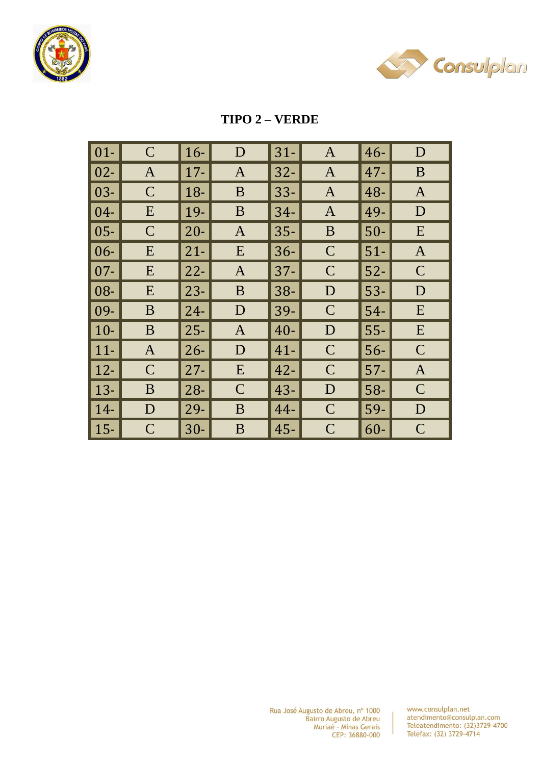



#### **TIPO 2 - VERDE**

| $\boxed{01}$      | $\overline{C}$                                                                                                | $16-$  | D            | $31-$  | $\mathbf{A}$  | $46-$  | D            |
|-------------------|---------------------------------------------------------------------------------------------------------------|--------|--------------|--------|---------------|--------|--------------|
| $\vert$ 02-       | $\mathbf{A}$                                                                                                  | $17 -$ | $\mathbf{A}$ | $32 -$ | $\mathbf{A}$  | $47 -$ | B            |
| $\vert$ 03-       | $\mathsf{C}$                                                                                                  | 18-    | B            | $33 -$ | $\mathbf{A}$  | 48-    | $\mathbf{A}$ |
| $\vert$ 04-       | E                                                                                                             | 19-    | B            | $34 -$ | $\mathbf{A}$  | 49-    | D            |
| $\vert$ 05-       | $\mathbf C$                                                                                                   | $20 -$ | $\mathbf{A}$ | $35 -$ | B             | $50-$  | E            |
| $\vert 06 -$      | E                                                                                                             | $21 -$ | E            | $36 -$ | $\mathbf C$   | $51-$  | $\mathbf{A}$ |
| $\vert$ 07-       | E                                                                                                             | $22 -$ | $\mathbf{A}$ | $37 -$ | $\mathcal C$  | $52-$  | $\mathbf C$  |
| $\vert\vert 08$ - | E                                                                                                             | $23 -$ | B            | $38 -$ | D             | $53-$  | D            |
| $\mid$ 09-        | B                                                                                                             | $24 -$ | D            | 39-    | $\mathbf C$   | $54-$  | E            |
| $\vert$ 10-       | B                                                                                                             | $25 -$ | $\mathbf{A}$ | $40 -$ | D             | $55 -$ | E            |
| $ 11-$            | $\mathbf{A}$                                                                                                  | $26 -$ | D            | $41 -$ | $\mathcal{C}$ | $56-$  | $\mathbf C$  |
| $\vert$ 12-       | $\mathsf{C}$                                                                                                  | $27 -$ | E            | $42 -$ | $\mathsf{C}$  | $57 -$ | $\mathbf{A}$ |
| $\vert$ 13-       | B                                                                                                             | $28 -$ | $\mathsf{C}$ | $43 -$ | D             | 58-    | $\mathbf C$  |
| $ 14-$            | D                                                                                                             | 29-    | B            | 44-    | $\mathcal{C}$ | 59-    | D            |
| $\vert$ 15-       | $\mathsf{C}% _{M_{1},M_{2}}^{\alpha,\beta}(\varepsilon)=\mathsf{C}_{M_{1},M_{2}}^{\alpha,\beta}(\varepsilon)$ | $30-$  | B            | $45 -$ | $\mathsf{C}$  | $60-$  | $\mathbf C$  |

www.consulplan.net atendimento@consulplan.com<br>Teleatendimento: (32)3729-4700<br>Telefax: (32) 3729-4714

 $\overline{1}$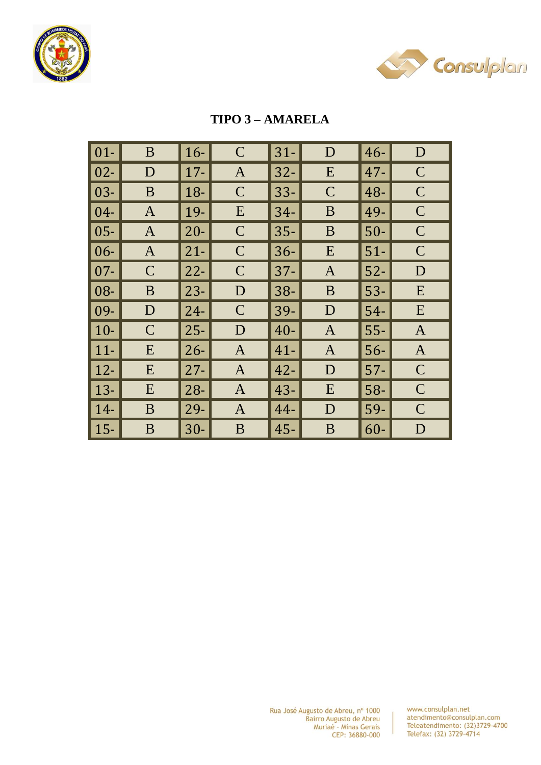



## **TIPO 3-AMARELA**

| $\overline{\hspace{.08cm}}\hspace{.08cm}01$ - | B            | $16-$  | $\mathcal{C}$ | $31 -$ | D            | $46-$  | D              |
|-----------------------------------------------|--------------|--------|---------------|--------|--------------|--------|----------------|
| $\vert$ 02-                                   | D            | $17 -$ | $\mathbf{A}$  | $32 -$ | E            | $47 -$ | $\mathbf C$    |
| $\vert$ 03-                                   | B            | 18-    | $\mathbf C$   | $33 -$ | $\mathbf C$  | 48-    | $\mathbf C$    |
| $\vert$ 04-                                   | $\mathbf{A}$ | 19-    | E             | $34-$  | B            | 49-    | $\mathsf{C}$   |
| $\vert$ 05-                                   | $\mathbf{A}$ | $20 -$ | $\mathbf C$   | $35 -$ | B            | $50-$  | $\mathbf C$    |
| $\vert 06 -$                                  | $\mathbf{A}$ | $21 -$ | $\mathbf C$   | $36 -$ | E            | $51-$  | $\mathsf{C}$   |
| $\overline{107}$ -                            | $\mathsf{C}$ | $22 -$ | $\mathbf C$   | $37 -$ | $\mathbf{A}$ | $52-$  | D              |
| $\blacksquare$ 08-                            | B            | $23 -$ | D             | $38-$  | B            | $53-$  | E              |
| $\mid$ 09-                                    | D            | $24 -$ | $\mathsf{C}$  | 39-    | D            | $54-$  | E              |
| $\vert$ 10-                                   | $\mathsf{C}$ | $25 -$ | D             | $40 -$ | $\mathbf{A}$ | $55 -$ | $\overline{A}$ |
| $ 11-$                                        | E            | $26 -$ | $\mathbf{A}$  | $41 -$ | $\mathbf{A}$ | $56-$  | $\mathbf{A}$   |
| $\vert$ 12-                                   | E            | $27 -$ | $\mathbf{A}$  | $42 -$ | D            | $57 -$ | $\mathbf C$    |
| $\vert$ 13-                                   | E            | $28 -$ | $\mathbf{A}$  | $43 -$ | E            | $58-$  | $\mathbf C$    |
| $ 14-$                                        | B            | 29-    | $\mathbf{A}$  | $44 -$ | D            | 59-    | $\mathbf C$    |
| $\vert$ 15-                                   | B            | $30 -$ | B             | $45 -$ | B            | $60-$  | D              |

www.consulplan.net atendimento@consulplan.com<br>Teleatendimento: (32)3729-4700 Telefax: (32) 3729-4714

 $\overline{1}$